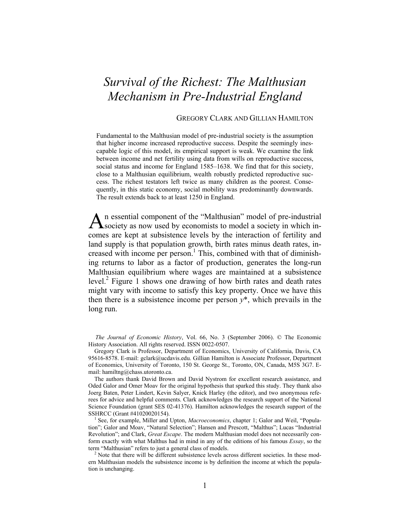# *Survival of the Richest: The Malthusian Mechanism in Pre-Industrial England*

# GREGORY CLARK AND GILLIAN HAMILTON

Fundamental to the Malthusian model of pre-industrial society is the assumption that higher income increased reproductive success. Despite the seemingly inescapable logic of this model, its empirical support is weak. We examine the link between income and net fertility using data from wills on reproductive success, social status and income for England 1585–1638. We find that for this society, close to a Malthusian equilibrium, wealth robustly predicted reproductive success. The richest testators left twice as many children as the poorest. Consequently, in this static economy, social mobility was predominantly downwards. The result extends back to at least 1250 in England.

n essential component of the "Malthusian" model of pre-industrial An essential component of the "Malthusian" model of pre-industrial<br>
Society as now used by economists to model a society in which incomes are kept at subsistence levels by the interaction of fertility and land supply is that population growth, birth rates minus death rates, increased with income per person.<sup>1</sup> This, combined with that of diminishing returns to labor as a factor of production, generates the long-run Malthusian equilibrium where wages are maintained at a subsistence level.<sup>2</sup> Figure 1 shows one drawing of how birth rates and death rates might vary with income to satisfy this key property. Once we have this then there is a subsistence income per person  $y^*$ , which prevails in the long run.

*The Journal of Economic History*, Vol. 66, No. 3 (September 2006). © The Economic History Association. All rights reserved. ISSN 0022-0507.

Gregory Clark is Professor, Department of Economics, University of California, Davis, CA 95616-8578. E-mail: gclark@ucdavis.edu. Gillian Hamilton is Associate Professor, Department of Economics, University of Toronto, 150 St. George St., Toronto, ON, Canada, M5S 3G7. Email: hamiltng@chass.utoronto.ca.

The authors thank David Brown and David Nystrom for excellent research assistance, and Oded Galor and Omer Moav for the original hypothesis that sparked this study. They thank also Joerg Baten, Peter Lindert, Kevin Salyer, Knick Harley (the editor), and two anonymous referees for advice and helpful comments. Clark acknowledges the research support of the National Science Foundation (grant SES 02-41376). Hamilton acknowledges the research support of the SSHRCC (Grant #41020020154).

 See, for example, Miller and Upton, *Macroeconomics*, chapter 1; Galor and Weil, "Population"; Galor and Moav, "Natural Selection"; Hansen and Prescott, "Malthus"; Lucas "Industrial Revolution"; and Clark, *Great Escape*. The modern Malthusian model does not necessarily conform exactly with what Malthus had in mind in any of the editions of his famous *Essay*, so the term "Malthusian" refers to just a general class of models. 2

<sup>2</sup> Note that there will be different subsistence levels across different societies. In these modern Malthusian models the subsistence income is by definition the income at which the population is unchanging.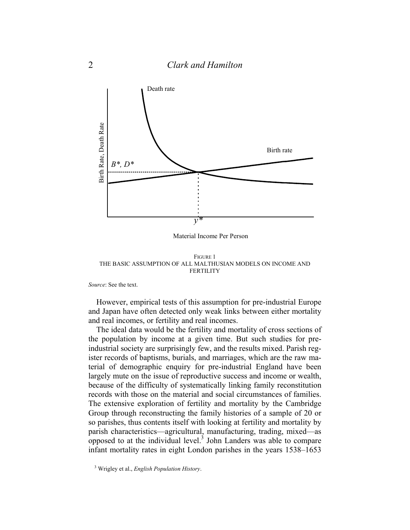

Material Income Per Person

FIGURE 1 THE BASIC ASSUMPTION OF ALL MALTHUSIAN MODELS ON INCOME AND FERTILITY

*Source*: See the text.

 However, empirical tests of this assumption for pre-industrial Europe and Japan have often detected only weak links between either mortality and real incomes, or fertility and real incomes.

 The ideal data would be the fertility and mortality of cross sections of the population by income at a given time. But such studies for preindustrial society are surprisingly few, and the results mixed. Parish register records of baptisms, burials, and marriages, which are the raw material of demographic enquiry for pre-industrial England have been largely mute on the issue of reproductive success and income or wealth, because of the difficulty of systematically linking family reconstitution records with those on the material and social circumstances of families. The extensive exploration of fertility and mortality by the Cambridge Group through reconstructing the family histories of a sample of 20 or so parishes, thus contents itself with looking at fertility and mortality by parish characteristics—agricultural, manufacturing, trading, mixed—as opposed to at the individual level.<sup>3</sup> John Landers was able to compare infant mortality rates in eight London parishes in the years 1538–1653

<sup>3</sup> Wrigley et al., *English Population History*.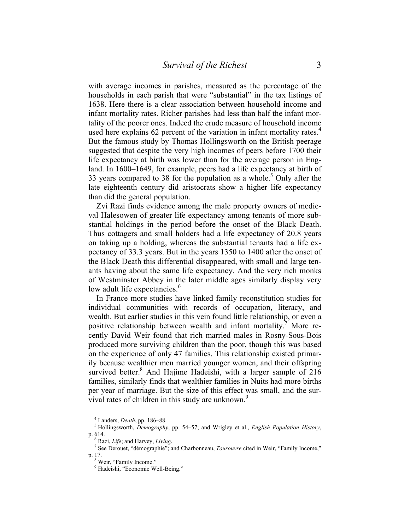with average incomes in parishes, measured as the percentage of the households in each parish that were "substantial" in the tax listings of 1638. Here there is a clear association between household income and infant mortality rates. Richer parishes had less than half the infant mortality of the poorer ones. Indeed the crude measure of household income used here explains 62 percent of the variation in infant mortality rates.<sup>4</sup> But the famous study by Thomas Hollingsworth on the British peerage suggested that despite the very high incomes of peers before 1700 their life expectancy at birth was lower than for the average person in England. In 1600–1649, for example, peers had a life expectancy at birth of 33 years compared to 38 for the population as a whole.<sup>5</sup> Only after the late eighteenth century did aristocrats show a higher life expectancy than did the general population.

 Zvi Razi finds evidence among the male property owners of medieval Halesowen of greater life expectancy among tenants of more substantial holdings in the period before the onset of the Black Death. Thus cottagers and small holders had a life expectancy of 20.8 years on taking up a holding, whereas the substantial tenants had a life expectancy of 33.3 years. But in the years 1350 to 1400 after the onset of the Black Death this differential disappeared, with small and large tenants having about the same life expectancy. And the very rich monks of Westminster Abbey in the later middle ages similarly display very low adult life expectancies.<sup>6</sup>

 In France more studies have linked family reconstitution studies for individual communities with records of occupation, literacy, and wealth. But earlier studies in this vein found little relationship, or even a positive relationship between wealth and infant mortality.<sup>7</sup> More recently David Weir found that rich married males in Rosny-Sous-Bois produced more surviving children than the poor, though this was based on the experience of only 47 families. This relationship existed primarily because wealthier men married younger women, and their offspring survived better.<sup>8</sup> And Hajime Hadeishi, with a larger sample of 216 families, similarly finds that wealthier families in Nuits had more births per year of marriage. But the size of this effect was small, and the survival rates of children in this study are unknown.<sup>9</sup>

 $^{4}$  Landers, *Death*, pp. 186–88.

Hollingsworth, *Demography*, pp. 54–57; and Wrigley et al., *English Population History*, p. 614.

Razi, *Life*; and Harvey, *Living*. 7

<sup>&</sup>lt;sup>7</sup> See Derouet, "démographie"; and Charbonneau, *Tourouvre* cited in Weir, "Family Income,"

p. 17.<br><sup>8</sup> Weir, "Family Income."<br><sup>9</sup> Hodeishi, "Feonomia We

<sup>&</sup>lt;sup>9</sup> Hadeishi, "Economic Well-Being."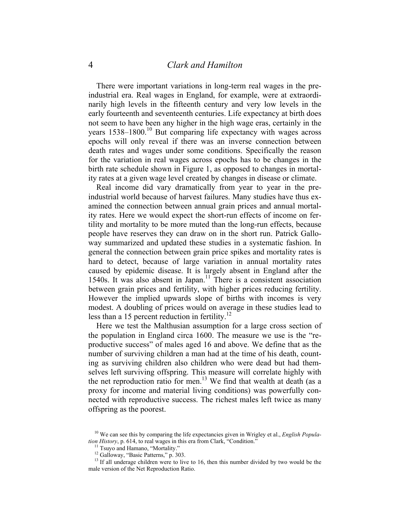There were important variations in long-term real wages in the preindustrial era. Real wages in England, for example, were at extraordinarily high levels in the fifteenth century and very low levels in the early fourteenth and seventeenth centuries. Life expectancy at birth does not seem to have been any higher in the high wage eras, certainly in the years  $1538-1800$ <sup>10</sup> But comparing life expectancy with wages across epochs will only reveal if there was an inverse connection between death rates and wages under some conditions. Specifically the reason for the variation in real wages across epochs has to be changes in the birth rate schedule shown in Figure 1, as opposed to changes in mortality rates at a given wage level created by changes in disease or climate.

 Real income did vary dramatically from year to year in the preindustrial world because of harvest failures. Many studies have thus examined the connection between annual grain prices and annual mortality rates. Here we would expect the short-run effects of income on fertility and mortality to be more muted than the long-run effects, because people have reserves they can draw on in the short run. Patrick Galloway summarized and updated these studies in a systematic fashion. In general the connection between grain price spikes and mortality rates is hard to detect, because of large variation in annual mortality rates caused by epidemic disease. It is largely absent in England after the 1540s. It was also absent in Japan.<sup>11</sup> There is a consistent association between grain prices and fertility, with higher prices reducing fertility. However the implied upwards slope of births with incomes is very modest. A doubling of prices would on average in these studies lead to less than a 15 percent reduction in fertility.<sup>12</sup>

 Here we test the Malthusian assumption for a large cross section of the population in England circa 1600. The measure we use is the "reproductive success" of males aged 16 and above. We define that as the number of surviving children a man had at the time of his death, counting as surviving children also children who were dead but had themselves left surviving offspring. This measure will correlate highly with the net reproduction ratio for men.<sup>13</sup> We find that wealth at death (as a proxy for income and material living conditions) was powerfully connected with reproductive success. The richest males left twice as many offspring as the poorest.

<sup>10</sup> We can see this by comparing the life expectancies given in Wrigley et al., *English Population History*, p. 614, to real wages in this era from Clark, "Condition." <sup>11</sup> Tsuyo and Hamano, "Mortality."

<sup>&</sup>lt;sup>12</sup> Galloway, "Basic Patterns," p. 303.

<sup>&</sup>lt;sup>13</sup> If all underage children were to live to 16, then this number divided by two would be the male version of the Net Reproduction Ratio.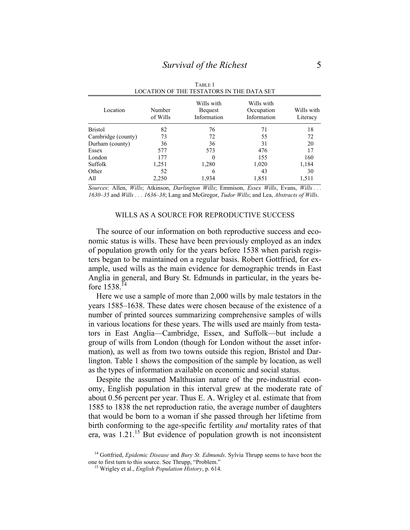| Location           | Number<br>of Wills | Wills with<br><b>Bequest</b><br>Information | Wills with<br>Occupation<br>Information | Wills with<br>Literacy |
|--------------------|--------------------|---------------------------------------------|-----------------------------------------|------------------------|
| <b>Bristol</b>     | 82                 | 76                                          | 71                                      | 18                     |
| Cambridge (county) | 73                 | 72                                          | 55                                      | 72                     |
| Durham (county)    | 36                 | 36                                          | 31                                      | 20                     |
| Essex              | 577                | 573                                         | 476                                     | 17                     |
| London             | 177                | 0                                           | 155                                     | 160                    |
| Suffolk            | 1,251              | 1,280                                       | 1,020                                   | 1,184                  |
| Other              | 52                 | 6                                           | 43                                      | 30                     |
| A11                | 2,250              | 1,934                                       | 1,851                                   | 1,511                  |

| TABLE 1                                   |  |
|-------------------------------------------|--|
| LOCATION OF THE TESTATORS IN THE DATA SET |  |

*Sources*: Allen, *Wills*; Atkinson, *Darlington Wills*; Emmison, *Essex Wills*, Evans, *Wills . . . 1630–35* and *Wills . . . 1636–38*; Lang and McGregor, *Tudor Wills*; and Lea, *Abstracts of Wills*.

## WILLS AS A SOURCE FOR REPRODUCTIVE SUCCESS

The source of our information on both reproductive success and economic status is wills. These have been previously employed as an index of population growth only for the years before 1538 when parish registers began to be maintained on a regular basis. Robert Gottfried, for example, used wills as the main evidence for demographic trends in East Anglia in general, and Bury St. Edmunds in particular, in the years before 1538.14

 Here we use a sample of more than 2,000 wills by male testators in the years 1585–1638. These dates were chosen because of the existence of a number of printed sources summarizing comprehensive samples of wills in various locations for these years. The wills used are mainly from testators in East Anglia—Cambridge, Essex, and Suffolk—but include a group of wills from London (though for London without the asset information), as well as from two towns outside this region, Bristol and Darlington. Table 1 shows the composition of the sample by location, as well as the types of information available on economic and social status.

 Despite the assumed Malthusian nature of the pre-industrial economy, English population in this interval grew at the moderate rate of about 0.56 percent per year. Thus E. A. Wrigley et al. estimate that from 1585 to 1838 the net reproduction ratio, the average number of daughters that would be born to a woman if she passed through her lifetime from birth conforming to the age-specific fertility *and* mortality rates of that era, was  $1.21$ .<sup>15</sup> But evidence of population growth is not inconsistent

<sup>&</sup>lt;sup>14</sup> Gottfried, *Epidemic Disease* and *Bury St. Edmunds*. Sylvia Thrupp seems to have been the one to first turn to this source. See Thrupp, "Problem."

<sup>&</sup>lt;sup>15</sup> Wrigley et al., *English Population History*, p. 614.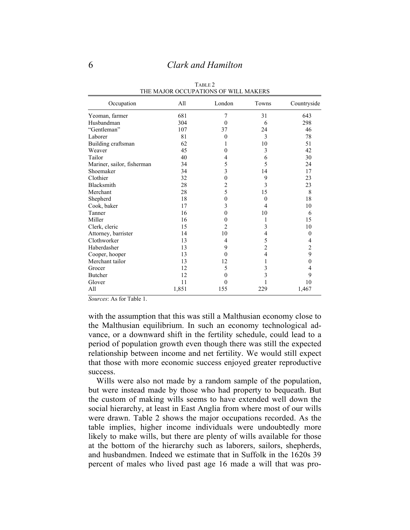| Occupation                 | All   | London           | Towns          | Countryside    |
|----------------------------|-------|------------------|----------------|----------------|
| Yeoman, farmer             | 681   | 7                | 31             | 643            |
| Husbandman                 | 304   | 0                | 6              | 298            |
| "Gentleman"                | 107   | 37               | 24             | 46             |
| Laborer                    | 81    | $\theta$         | 3              | 78             |
| Building craftsman         | 62    |                  | 10             | 51             |
| Weaver                     | 45    | 0                | 3              | 42             |
| Tailor                     | 40    | 4                | 6              | 30             |
| Mariner, sailor, fisherman | 34    | 5                | 5              | 24             |
| Shoemaker                  | 34    | 3                | 14             | 17             |
| Clothier                   | 32    | $\mathbf{0}$     | 9              | 23             |
| Blacksmith                 | 28    | $\overline{c}$   | 3              | 23             |
| Merchant                   | 28    | 5                | 15             | 8              |
| Shepherd                   | 18    | $\boldsymbol{0}$ | $\theta$       | 18             |
| Cook, baker                | 17    | 3                | 4              | 10             |
| Tanner                     | 16    | 0                | 10             | 6              |
| Miller                     | 16    | 0                | 1              | 15             |
| Clerk, cleric              | 15    | 2                | 3              | 10             |
| Attorney, barrister        | 14    | 10               | 4              | $\mathbf{0}$   |
| Clothworker                | 13    | 4                | 5              | 4              |
| Haberdasher                | 13    | 9                | $\overline{c}$ | $\overline{c}$ |
| Cooper, hooper             | 13    | 0                | $\overline{4}$ | 9              |
| Merchant tailor            | 13    | 12               | 1              | $\mathbf{0}$   |
| Grocer                     | 12    | 5                | 3              | 4              |
| <b>Butcher</b>             | 12    | $\theta$         | 3              | 9              |
| Glover                     | 11    | 0                |                | 10             |
| All                        | 1,851 | 155              | 229            | 1,467          |

TABLE 2 THE MAJOR OCCUPATIONS OF WILL MAKERS

*Sources*: As for Table 1.

with the assumption that this was still a Malthusian economy close to the Malthusian equilibrium. In such an economy technological advance, or a downward shift in the fertility schedule, could lead to a period of population growth even though there was still the expected relationship between income and net fertility. We would still expect that those with more economic success enjoyed greater reproductive success.

 Wills were also not made by a random sample of the population, but were instead made by those who had property to bequeath. But the custom of making wills seems to have extended well down the social hierarchy, at least in East Anglia from where most of our wills were drawn. Table 2 shows the major occupations recorded. As the table implies, higher income individuals were undoubtedly more likely to make wills, but there are plenty of wills available for those at the bottom of the hierarchy such as laborers, sailors, shepherds, and husbandmen. Indeed we estimate that in Suffolk in the 1620s 39 percent of males who lived past age 16 made a will that was pro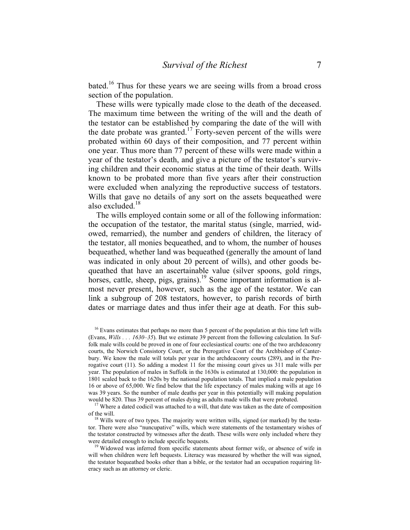bated.16 Thus for these years we are seeing wills from a broad cross section of the population.

 These wills were typically made close to the death of the deceased. The maximum time between the writing of the will and the death of the testator can be established by comparing the date of the will with the date probate was granted.<sup>17</sup> Forty-seven percent of the wills were probated within 60 days of their composition, and 77 percent within one year. Thus more than 77 percent of these wills were made within a year of the testator's death, and give a picture of the testator's surviving children and their economic status at the time of their death. Wills known to be probated more than five years after their construction were excluded when analyzing the reproductive success of testators. Wills that gave no details of any sort on the assets bequeathed were also excluded.<sup>18</sup>

 The wills employed contain some or all of the following information: the occupation of the testator, the marital status (single, married, widowed, remarried), the number and genders of children, the literacy of the testator, all monies bequeathed, and to whom, the number of houses bequeathed, whether land was bequeathed (generally the amount of land was indicated in only about 20 percent of wills), and other goods bequeathed that have an ascertainable value (silver spoons, gold rings, horses, cattle, sheep, pigs, grains).<sup>19</sup> Some important information is almost never present, however, such as the age of the testator. We can link a subgroup of 208 testators, however, to parish records of birth dates or marriage dates and thus infer their age at death. For this sub-

<sup>&</sup>lt;sup>16</sup> Evans estimates that perhaps no more than 5 percent of the population at this time left wills (Evans, *Wills . . . 1630–35*). But we estimate 39 percent from the following calculation. In Suffolk male wills could be proved in one of four ecclesiastical courts: one of the two archdeaconry courts, the Norwich Consistory Court, or the Prerogative Court of the Archbishop of Canterbury. We know the male will totals per year in the archdeaconry courts (289), and in the Prerogative court (11). So adding a modest 11 for the missing court gives us 311 male wills per year. The population of males in Suffolk in the 1630s is estimated at 130,000: the population in 1801 scaled back to the 1620s by the national population totals. That implied a male population 16 or above of 65,000. We find below that the life expectancy of males making wills at age 16 was 39 years. So the number of male deaths per year in this potentially will making population would be 820. Thus 39 percent of males dying as adults made wills that were probated. <sup>17</sup> Where a dated codicil was attached to a will, that date was taken as the date of composition

of the will.<br><sup>18</sup> Wills were of two types. The majority were written wills, signed (or marked) by the testa-

tor. There were also "nuncupative" wills, which were statements of the testamentary wishes of the testator constructed by witnesses after the death. These wills were only included where they

were detailed enough to include specific bequests.<br><sup>19</sup> Widowed was inferred from specific statements about former wife, or absence of wife in will when children were left bequests. Literacy was measured by whether the will was signed, the testator bequeathed books other than a bible, or the testator had an occupation requiring literacy such as an attorney or cleric.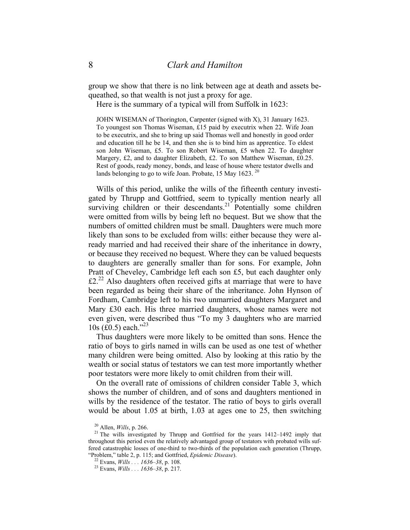group we show that there is no link between age at death and assets bequeathed, so that wealth is not just a proxy for age.

Here is the summary of a typical will from Suffolk in 1623:

JOHN WISEMAN of Thorington, Carpenter (signed with X), 31 January 1623. To youngest son Thomas Wiseman, £15 paid by executrix when 22. Wife Joan to be executrix, and she to bring up said Thomas well and honestly in good order and education till he be 14, and then she is to bind him as apprentice. To eldest son John Wiseman, £5. To son Robert Wiseman, £5 when 22. To daughter Margery, £2, and to daughter Elizabeth, £2. To son Matthew Wiseman, £0.25. Rest of goods, ready money, bonds, and lease of house where testator dwells and lands belonging to go to wife Joan. Probate, 15 May 1623.<sup>20</sup>

 Wills of this period, unlike the wills of the fifteenth century investigated by Thrupp and Gottfried, seem to typically mention nearly all surviving children or their descendants.<sup>21</sup> Potentially some children were omitted from wills by being left no bequest. But we show that the numbers of omitted children must be small. Daughters were much more likely than sons to be excluded from wills: either because they were already married and had received their share of the inheritance in dowry, or because they received no bequest. Where they can be valued bequests to daughters are generally smaller than for sons. For example, John Pratt of Cheveley, Cambridge left each son £5, but each daughter only  $\text{\pounds}2^{22}$  Also daughters often received gifts at marriage that were to have been regarded as being their share of the inheritance. John Hynson of Fordham, Cambridge left to his two unmarried daughters Margaret and Mary £30 each. His three married daughters, whose names were not even given, were described thus "To my 3 daughters who are married 10s (£0.5) each."<sup>23</sup>

 Thus daughters were more likely to be omitted than sons. Hence the ratio of boys to girls named in wills can be used as one test of whether many children were being omitted. Also by looking at this ratio by the wealth or social status of testators we can test more importantly whether poor testators were more likely to omit children from their will.

 On the overall rate of omissions of children consider Table 3, which shows the number of children, and of sons and daughters mentioned in wills by the residence of the testator. The ratio of boys to girls overall would be about 1.05 at birth, 1.03 at ages one to 25, then switching

<sup>&</sup>lt;sup>20</sup> Allen, *Wills*, p. 266.<br><sup>21</sup> The wills investigated by Thrupp and Gottfried for the years 1412–1492 imply that throughout this period even the relatively advantaged group of testators with probated wills suffered catastrophic losses of one-third to two-thirds of the population each generation (Thrupp, "Problem," table 2, p. 115; and Gottfried, *Epidemic Disease*). 22 Evans, *Wills . . . 1636–38*, p. 108. 23 Evans, *Wills . . . 1636–38*, p. 217.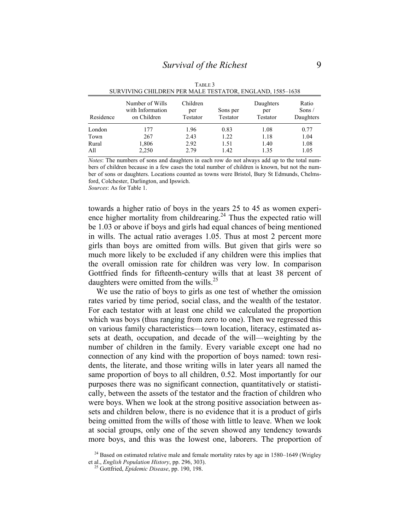| Residence | Number of Wills<br>with Information<br>on Children | Children<br>per<br>Testator | Sons per<br>Testator | Daughters<br>per<br>Testator | Ratio<br>Sons $\sqrt{ }$<br>Daughters |
|-----------|----------------------------------------------------|-----------------------------|----------------------|------------------------------|---------------------------------------|
| London    | 177                                                | 1.96                        | 0.83                 | 1.08                         | 0.77                                  |
| Town      | 267                                                | 2.43                        | 1.22                 | 1.18                         | 1.04                                  |
| Rural     | 1,806                                              | 2.92                        | 1.51                 | 1.40                         | 1.08                                  |
| All       | 2,250                                              | 2.79                        | 1.42                 | 1.35                         | 1.05                                  |

TABLE 3 SURVIVING CHILDREN PER MALE TESTATOR, ENGLAND, 1585–1638

*Notes*: The numbers of sons and daughters in each row do not always add up to the total numbers of children because in a few cases the total number of children is known, but not the number of sons or daughters. Locations counted as towns were Bristol, Bury St Edmunds, Chelmsford, Colchester, Darlington, and Ipswich.

*Sources*: As for Table 1.

towards a higher ratio of boys in the years 25 to 45 as women experience higher mortality from childrearing.<sup>24</sup> Thus the expected ratio will be 1.03 or above if boys and girls had equal chances of being mentioned in wills. The actual ratio averages 1.05. Thus at most 2 percent more girls than boys are omitted from wills. But given that girls were so much more likely to be excluded if any children were this implies that the overall omission rate for children was very low. In comparison Gottfried finds for fifteenth-century wills that at least 38 percent of daughters were omitted from the wills.<sup>25</sup>

 We use the ratio of boys to girls as one test of whether the omission rates varied by time period, social class, and the wealth of the testator. For each testator with at least one child we calculated the proportion which was boys (thus ranging from zero to one). Then we regressed this on various family characteristics—town location, literacy, estimated assets at death, occupation, and decade of the will—weighting by the number of children in the family. Every variable except one had no connection of any kind with the proportion of boys named: town residents, the literate, and those writing wills in later years all named the same proportion of boys to all children, 0.52. Most importantly for our purposes there was no significant connection, quantitatively or statistically, between the assets of the testator and the fraction of children who were boys. When we look at the strong positive association between assets and children below, there is no evidence that it is a product of girls being omitted from the wills of those with little to leave. When we look at social groups, only one of the seven showed any tendency towards more boys, and this was the lowest one, laborers. The proportion of

<sup>&</sup>lt;sup>24</sup> Based on estimated relative male and female mortality rates by age in 1580–1649 (Wrigley et al., *English Population History*, pp. 296, 303).

<sup>&</sup>lt;sup>25</sup> Gottfried, *Epidemic Disease*, pp. 190, 198.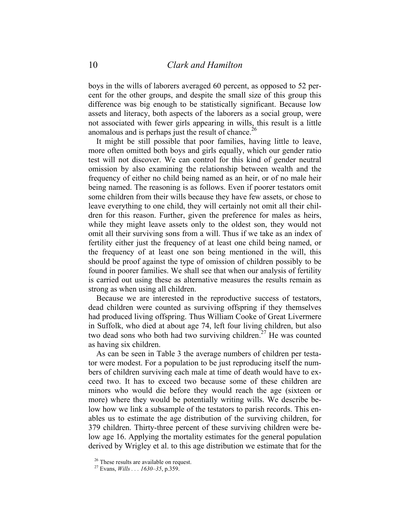boys in the wills of laborers averaged 60 percent, as opposed to 52 percent for the other groups, and despite the small size of this group this difference was big enough to be statistically significant. Because low assets and literacy, both aspects of the laborers as a social group, were not associated with fewer girls appearing in wills, this result is a little anomalous and is perhaps just the result of chance.<sup>26</sup>

 It might be still possible that poor families, having little to leave, more often omitted both boys and girls equally, which our gender ratio test will not discover. We can control for this kind of gender neutral omission by also examining the relationship between wealth and the frequency of either no child being named as an heir, or of no male heir being named. The reasoning is as follows. Even if poorer testators omit some children from their wills because they have few assets, or chose to leave everything to one child, they will certainly not omit all their children for this reason. Further, given the preference for males as heirs, while they might leave assets only to the oldest son, they would not omit all their surviving sons from a will. Thus if we take as an index of fertility either just the frequency of at least one child being named, or the frequency of at least one son being mentioned in the will, this should be proof against the type of omission of children possibly to be found in poorer families. We shall see that when our analysis of fertility is carried out using these as alternative measures the results remain as strong as when using all children.

 Because we are interested in the reproductive success of testators, dead children were counted as surviving offspring if they themselves had produced living offspring. Thus William Cooke of Great Livermere in Suffolk, who died at about age 74, left four living children, but also two dead sons who both had two surviving children.<sup>27</sup> He was counted as having six children.

 As can be seen in Table 3 the average numbers of children per testator were modest. For a population to be just reproducing itself the numbers of children surviving each male at time of death would have to exceed two. It has to exceed two because some of these children are minors who would die before they would reach the age (sixteen or more) where they would be potentially writing wills. We describe below how we link a subsample of the testators to parish records. This enables us to estimate the age distribution of the surviving children, for 379 children. Thirty-three percent of these surviving children were below age 16. Applying the mortality estimates for the general population derived by Wrigley et al. to this age distribution we estimate that for the

<sup>&</sup>lt;sup>26</sup> These results are available on request.

<sup>27</sup> Evans, *Wills . . . 1630–35*, p.359.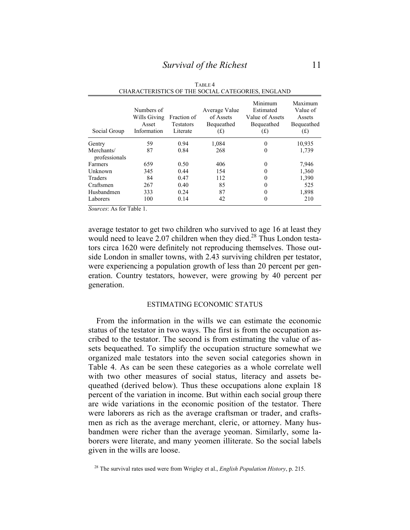| Social Group                | Numbers of<br>Wills Giving<br>Asset<br>Information | Fraction of<br><b>Testators</b><br>Literate | Average Value<br>of Assets<br>Bequeathed<br>(f) | Minimum<br>Estimated<br>Value of Assets<br>Bequeathed<br>(f) | Maximum<br>Value of<br>Assets<br>Bequeathed<br>(f) |
|-----------------------------|----------------------------------------------------|---------------------------------------------|-------------------------------------------------|--------------------------------------------------------------|----------------------------------------------------|
| Gentry                      | 59                                                 | 0.94                                        | 1,084                                           | $\theta$                                                     | 10,935                                             |
| Merchants/<br>professionals | 87                                                 | 0.84                                        | 268                                             | $\theta$                                                     | 1,739                                              |
| Farmers                     | 659                                                | 0.50                                        | 406                                             | $\theta$                                                     | 7,946                                              |
| Unknown                     | 345                                                | 0.44                                        | 154                                             | $\theta$                                                     | 1,360                                              |
| Traders                     | 84                                                 | 0.47                                        | 112                                             | $\Omega$                                                     | 1,390                                              |
| Craftsmen                   | 267                                                | 0.40                                        | 85                                              | $\Omega$                                                     | 525                                                |
| Husbandmen                  | 333                                                | 0.24                                        | 87                                              | $\Omega$                                                     | 1,898                                              |
| Laborers                    | 100                                                | 0.14                                        | 42                                              | $\Omega$                                                     | 210                                                |

TABLE 4 CHARACTERISTICS OF THE SOCIAL CATEGORIES, ENGLAND

*Sources*: As for Table 1.

average testator to get two children who survived to age 16 at least they would need to leave 2.07 children when they died.<sup>28</sup> Thus London testators circa 1620 were definitely not reproducing themselves. Those outside London in smaller towns, with 2.43 surviving children per testator, were experiencing a population growth of less than 20 percent per generation. Country testators, however, were growing by 40 percent per generation.

#### ESTIMATING ECONOMIC STATUS

From the information in the wills we can estimate the economic status of the testator in two ways. The first is from the occupation ascribed to the testator. The second is from estimating the value of assets bequeathed. To simplify the occupation structure somewhat we organized male testators into the seven social categories shown in Table 4. As can be seen these categories as a whole correlate well with two other measures of social status, literacy and assets bequeathed (derived below). Thus these occupations alone explain 18 percent of the variation in income. But within each social group there are wide variations in the economic position of the testator. There were laborers as rich as the average craftsman or trader, and craftsmen as rich as the average merchant, cleric, or attorney. Many husbandmen were richer than the average yeoman. Similarly, some laborers were literate, and many yeomen illiterate. So the social labels given in the wills are loose.

<sup>28</sup> The survival rates used were from Wrigley et al., *English Population History*, p. 215.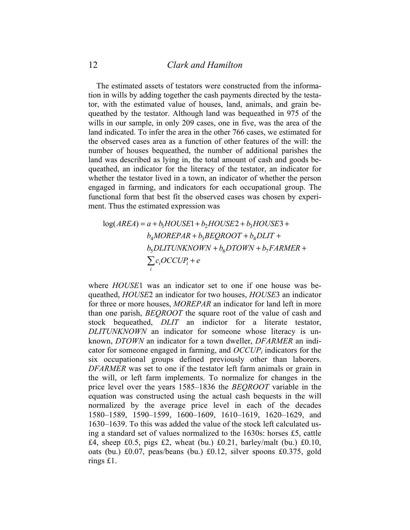The estimated assets of testators were constructed from the information in wills by adding together the cash payments directed by the testator, with the estimated value of houses, land, animals, and grain bequeathed by the testator. Although land was bequeathed in 975 of the wills in our sample, in only 209 cases, one in five, was the area of the land indicated. To infer the area in the other 766 cases, we estimated for the observed cases area as a function of other features of the will: the number of houses bequeathed, the number of additional parishes the land was described as lying in, the total amount of cash and goods bequeathed, an indicator for the literacy of the testator, an indicator for whether the testator lived in a town, an indicator of whether the person engaged in farming, and indicators for each occupational group. The functional form that best fit the observed cases was chosen by experiment. Thus the estimated expression was

 $c_i$ OCCUP<sub>i</sub> + e  $b_5$ DLITUNKNOWN +  $b_6$ DTOWN +  $b_7$ FARMER +  $b_4 MOREPAR + b_3 BEQROOT + b_4 DLIT +$  $log(AREA) = a + b_1HOUSE1 + b_2HOUSE2 + b_3HOUSE3 + b_4HOUSE3$ *i*  $\sum c_i OCCUP_i +$ 

where *HOUSE*1 was an indicator set to one if one house was bequeathed, *HOUSE*2 an indicator for two houses, *HOUSE*3 an indicator for three or more houses, *MOREPAR* an indicator for land left in more than one parish, *BEQROOT* the square root of the value of cash and stock bequeathed, *DLIT* an indictor for a literate testator, *DLITUNKNOWN* an indicator for someone whose literacy is unknown, *DTOWN* an indicator for a town dweller, *DFARMER* an indicator for someone engaged in farming, and  $\text{OCCUP}_i$  indicators for the six occupational groups defined previously other than laborers. *DFARMER* was set to one if the testator left farm animals or grain in the will, or left farm implements. To normalize for changes in the price level over the years 1585–1836 the *BEQROOT* variable in the equation was constructed using the actual cash bequests in the will normalized by the average price level in each of the decades 1580–1589, 1590–1599, 1600–1609, 1610–1619, 1620–1629, and 1630–1639. To this was added the value of the stock left calculated using a standard set of values normalized to the 1630s: horses £5, cattle £4, sheep £0.5, pigs £2, wheat (bu.) £0.21, barley/malt (bu.)  $\pounds 0.10$ , oats (bu.) £0.07, peas/beans (bu.) £0.12, silver spoons £0.375, gold rings £1.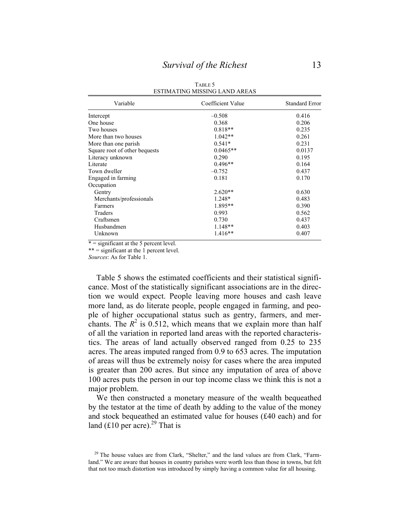| Variable                      | Coefficient Value | <b>Standard Error</b> |
|-------------------------------|-------------------|-----------------------|
| Intercept                     | $-0.508$          | 0.416                 |
| One house                     | 0.368             | 0.206                 |
| Two houses                    | $0.818**$         | 0.235                 |
| More than two houses          | $1.042**$         | 0.261                 |
| More than one parish          | $0.541*$          | 0.231                 |
| Square root of other bequests | $0.0465**$        | 0.0137                |
| Literacy unknown              | 0.290             | 0.195                 |
| Literate                      | $0.496**$         | 0.164                 |
| Town dweller                  | $-0.752$          | 0.437                 |
| Engaged in farming            | 0.181             | 0.170                 |
| Occupation                    |                   |                       |
| Gentry                        | $2.620**$         | 0.630                 |
| Merchants/professionals       | $1.248*$          | 0.483                 |
| Farmers                       | 1.895**           | 0.390                 |
| Traders                       | 0.993             | 0.562                 |
| Craftsmen                     | 0.730             | 0.437                 |
| Husbandmen                    | $1.148**$         | 0.403                 |
| Unknown                       | $1.416**$         | 0.407                 |

TABLE 5 ESTIMATING MISSING LAND AREAS

 $* =$  significant at the 5 percent level.

\*\* = significant at the 1 percent level.

*Sources*: As for Table 1.

Table 5 shows the estimated coefficients and their statistical significance. Most of the statistically significant associations are in the direction we would expect. People leaving more houses and cash leave more land, as do literate people, people engaged in farming, and people of higher occupational status such as gentry, farmers, and merchants. The  $R^2$  is 0.512, which means that we explain more than half of all the variation in reported land areas with the reported characteristics. The areas of land actually observed ranged from 0.25 to 235 acres. The areas imputed ranged from 0.9 to 653 acres. The imputation of areas will thus be extremely noisy for cases where the area imputed is greater than 200 acres. But since any imputation of area of above 100 acres puts the person in our top income class we think this is not a major problem.

 We then constructed a monetary measure of the wealth bequeathed by the testator at the time of death by adding to the value of the money and stock bequeathed an estimated value for houses (£40 each) and for land (£10 per acre).<sup>29</sup> That is

<sup>&</sup>lt;sup>29</sup> The house values are from Clark, "Shelter," and the land values are from Clark, "Farmland." We are aware that houses in country parishes were worth less than those in towns, but felt that not too much distortion was introduced by simply having a common value for all housing.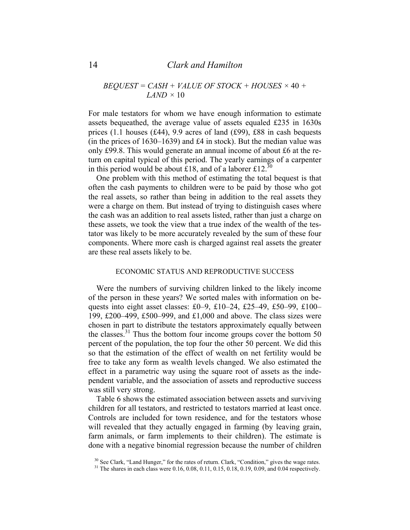$$
BEQUEST = CASH + VALUE OF STOCK + HOUSES \times 40 +
$$
  
LAND \times 10

For male testators for whom we have enough information to estimate assets bequeathed, the average value of assets equaled £235 in 1630s prices (1.1 houses (£44), 9.9 acres of land (£99), £88 in cash bequests (in the prices of 1630–1639) and £4 in stock). But the median value was only £99.8. This would generate an annual income of about £6 at the return on capital typical of this period. The yearly earnings of a carpenter in this period would be about £18, and of a laborer £12.<sup>30</sup>

 One problem with this method of estimating the total bequest is that often the cash payments to children were to be paid by those who got the real assets, so rather than being in addition to the real assets they were a charge on them. But instead of trying to distinguish cases where the cash was an addition to real assets listed, rather than just a charge on these assets, we took the view that a true index of the wealth of the testator was likely to be more accurately revealed by the sum of these four components. Where more cash is charged against real assets the greater are these real assets likely to be.

#### ECONOMIC STATUS AND REPRODUCTIVE SUCCESS

 Were the numbers of surviving children linked to the likely income of the person in these years? We sorted males with information on bequests into eight asset classes: £0–9, £10–24, £25–49, £50–99, £100– 199, £200–499, £500–999, and £1,000 and above. The class sizes were chosen in part to distribute the testators approximately equally between the classes. $31$  Thus the bottom four income groups cover the bottom 50 percent of the population, the top four the other 50 percent. We did this so that the estimation of the effect of wealth on net fertility would be free to take any form as wealth levels changed. We also estimated the effect in a parametric way using the square root of assets as the independent variable, and the association of assets and reproductive success was still very strong.

 Table 6 shows the estimated association between assets and surviving children for all testators, and restricted to testators married at least once. Controls are included for town residence, and for the testators whose will revealed that they actually engaged in farming (by leaving grain, farm animals, or farm implements to their children). The estimate is done with a negative binomial regression because the number of children

<sup>&</sup>lt;sup>30</sup> See Clark, "Land Hunger," for the rates of return. Clark, "Condition," gives the wage rates. <sup>31</sup> The shares in each class were  $0.16, 0.08, 0.11, 0.15, 0.18, 0.19, 0.09,$  and  $0.04$  respectively.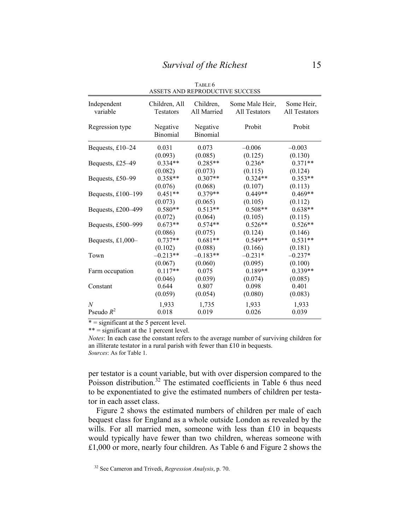|                         |                            | ASSETS AND REPRODUCTIVE SUCCESS |                                         |                                    |  |  |  |
|-------------------------|----------------------------|---------------------------------|-----------------------------------------|------------------------------------|--|--|--|
| Independent<br>variable | Children, All<br>Testators | Children,<br>All Married        | Some Male Heir,<br><b>All Testators</b> | Some Heir,<br><b>All Testators</b> |  |  |  |
| Regression type         | Negative<br>Binomial       | Negative<br>Binomial            | Probit                                  | Probit                             |  |  |  |
| Bequests, £10-24        | 0.031                      | 0.073                           | $-0.006$                                | $-0.003$                           |  |  |  |
|                         | (0.093)                    | (0.085)                         | (0.125)                                 | (0.130)                            |  |  |  |
| Bequests, £25-49        | $0.334**$                  | $0.285**$                       | $0.236*$                                | $0.371**$                          |  |  |  |
|                         | (0.082)                    | (0.073)                         | (0.115)                                 | (0.124)                            |  |  |  |
| Bequests, £50-99        | $0.358**$                  | $0.307**$                       | $0.324**$                               | $0.353**$                          |  |  |  |
|                         | (0.076)                    | (0.068)                         | (0.107)                                 | (0.113)                            |  |  |  |
| Bequests, $£100-199$    | $0.451**$                  | $0.379**$                       | $0.449**$                               | $0.469**$                          |  |  |  |
|                         | (0.073)                    | (0.065)                         | (0.105)                                 | (0.112)                            |  |  |  |
| Bequests, £200-499      | $0.580**$                  | $0.513**$                       | $0.508**$                               | $0.638**$                          |  |  |  |
|                         | (0.072)                    | (0.064)                         | (0.105)                                 | (0.115)                            |  |  |  |
| Bequests, £500-999      | $0.673**$                  | $0.574**$                       | $0.526**$                               | $0.526**$                          |  |  |  |
|                         | (0.086)                    | (0.075)                         | (0.124)                                 | (0.146)                            |  |  |  |
| Bequests, £1,000-       | $0.737**$                  | $0.681**$                       | $0.549**$                               | $0.531**$                          |  |  |  |
|                         | (0.102)                    | (0.088)                         | (0.166)                                 | (0.181)                            |  |  |  |
| Town                    | $-0.213**$                 | $-0.183**$                      | $-0.231*$                               | $-0.237*$                          |  |  |  |
|                         | (0.067)                    | (0.060)                         | (0.095)                                 | (0.100)                            |  |  |  |
| Farm occupation         | $0.117**$                  | 0.075                           | $0.189**$                               | $0.339**$                          |  |  |  |
|                         | (0.046)                    | (0.039)                         | (0.074)                                 | (0.085)                            |  |  |  |
| Constant                | 0.644                      | 0.807                           | 0.098                                   | 0.401                              |  |  |  |
|                         | (0.059)                    | (0.054)                         | (0.080)                                 | (0.083)                            |  |  |  |
| $\overline{N}$          | 1,933                      | 1,735                           | 1,933                                   | 1,933                              |  |  |  |
| Pseudo $R^2$            | 0.018                      | 0.019                           | 0.026                                   | 0.039                              |  |  |  |

TABLE 6 ASSETS AND REPRODUCTIVE SUCCESS

 $* =$  significant at the 5 percent level.

\*\* = significant at the 1 percent level.

*Notes*: In each case the constant refers to the average number of surviving children for an illiterate testator in a rural parish with fewer than £10 in bequests. *Sources*: As for Table 1.

per testator is a count variable, but with over dispersion compared to the Poisson distribution.<sup>32</sup> The estimated coefficients in Table  $\overrightarrow{6}$  thus need to be exponentiated to give the estimated numbers of children per testator in each asset class.

 Figure 2 shows the estimated numbers of children per male of each bequest class for England as a whole outside London as revealed by the wills. For all married men, someone with less than £10 in bequests would typically have fewer than two children, whereas someone with £1,000 or more, nearly four children. As Table 6 and Figure 2 shows the

<sup>32</sup> See Cameron and Trivedi, *Regression Analysis*, p. 70.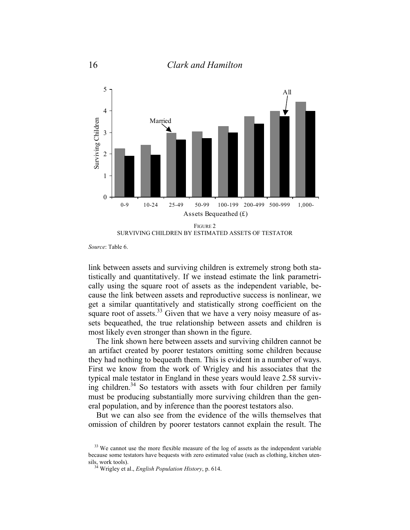

*Source*: Table 6.

link between assets and surviving children is extremely strong both statistically and quantitatively. If we instead estimate the link parametrically using the square root of assets as the independent variable, because the link between assets and reproductive success is nonlinear, we get a similar quantitatively and statistically strong coefficient on the square root of assets.<sup>33</sup> Given that we have a very noisy measure of assets bequeathed, the true relationship between assets and children is most likely even stronger than shown in the figure.

 The link shown here between assets and surviving children cannot be an artifact created by poorer testators omitting some children because they had nothing to bequeath them. This is evident in a number of ways. First we know from the work of Wrigley and his associates that the typical male testator in England in these years would leave 2.58 surviving children.<sup>34</sup> So testators with assets with four children per family must be producing substantially more surviving children than the general population, and by inference than the poorest testators also.

 But we can also see from the evidence of the wills themselves that omission of children by poorer testators cannot explain the result. The

<sup>&</sup>lt;sup>33</sup> We cannot use the more flexible measure of the log of assets as the independent variable because some testators have bequests with zero estimated value (such as clothing, kitchen utensils, work tools). 34 Wrigley et al., *English Population History*, p. 614.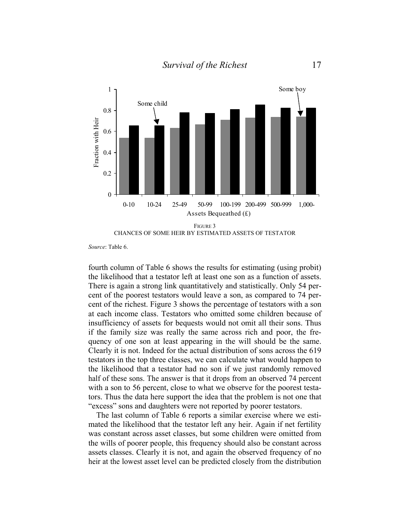

*Source*: Table 6.

fourth column of Table 6 shows the results for estimating (using probit) the likelihood that a testator left at least one son as a function of assets. There is again a strong link quantitatively and statistically. Only 54 percent of the poorest testators would leave a son, as compared to 74 percent of the richest. Figure 3 shows the percentage of testators with a son at each income class. Testators who omitted some children because of insufficiency of assets for bequests would not omit all their sons. Thus if the family size was really the same across rich and poor, the frequency of one son at least appearing in the will should be the same. Clearly it is not. Indeed for the actual distribution of sons across the 619 testators in the top three classes, we can calculate what would happen to the likelihood that a testator had no son if we just randomly removed half of these sons. The answer is that it drops from an observed 74 percent with a son to 56 percent, close to what we observe for the poorest testators. Thus the data here support the idea that the problem is not one that "excess" sons and daughters were not reported by poorer testators.

 The last column of Table 6 reports a similar exercise where we estimated the likelihood that the testator left any heir. Again if net fertility was constant across asset classes, but some children were omitted from the wills of poorer people, this frequency should also be constant across assets classes. Clearly it is not, and again the observed frequency of no heir at the lowest asset level can be predicted closely from the distribution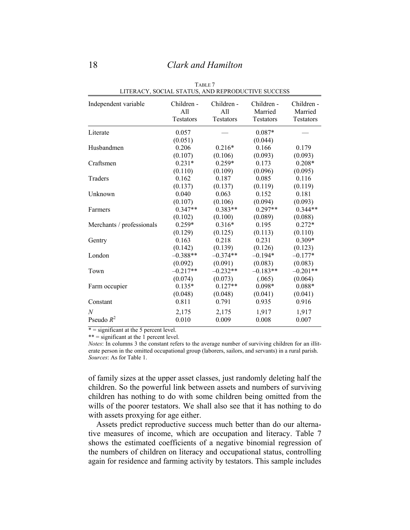| Independent variable      | Children -<br>All | Children -<br>All | Children -<br>Married | Children -<br>Married |
|---------------------------|-------------------|-------------------|-----------------------|-----------------------|
|                           | Testators         | Testators         | Testators             | Testators             |
| Literate                  | 0.057             |                   | $0.087*$              |                       |
|                           | (0.051)           |                   | (0.044)               |                       |
| Husbandmen                | 0.206             | $0.216*$          | 0.166                 | 0.179                 |
|                           | (0.107)           | (0.106)           | (0.093)               | (0.093)               |
| Craftsmen                 | $0.231*$          | $0.259*$          | 0.173                 | $0.208*$              |
|                           | (0.110)           | (0.109)           | (0.096)               | (0.095)               |
| Traders                   | 0.162             | 0.187             | 0.085                 | 0.116                 |
|                           | (0.137)           | (0.137)           | (0.119)               | (0.119)               |
| Unknown                   | 0.040             | 0.063             | 0.152                 | 0.181                 |
|                           | (0.107)           | (0.106)           | (0.094)               | (0.093)               |
| Farmers                   | $0.347**$         | $0.383**$         | $0.297**$             | $0.344**$             |
|                           | (0.102)           | (0.100)           | (0.089)               | (0.088)               |
| Merchants / professionals | $0.259*$          | $0.316*$          | 0.195                 | $0.272*$              |
|                           | (0.129)           | (0.125)           | (0.113)               | (0.110)               |
| Gentry                    | 0.163             | 0.218             | 0.231                 | $0.309*$              |
|                           | (0.142)           | (0.139)           | (0.126)               | (0.123)               |
| London                    | $-0.388**$        | $-0.374**$        | $-0.194*$             | $-0.177*$             |
|                           | (0.092)           | (0.091)           | (0.083)               | (0.083)               |
| Town                      | $-0.217**$        | $-0.232**$        | $-0.183**$            | $-0.201**$            |
|                           | (0.074)           | (0.073)           | (.065)                | (0.064)               |
| Farm occupier             | $0.135*$          | $0.127**$         | $0.098*$              | $0.088*$              |
|                           | (0.048)           | (0.048)           | (0.041)               | (0.041)               |
| Constant                  | 0.811             | 0.791             | 0.935                 | 0.916                 |
| N                         | 2,175             | 2,175             | 1,917                 | 1,917                 |
| Pseudo $R^2$              | 0.010             | 0.009             | 0.008                 | 0.007                 |

TABLE 7 LITERACY, SOCIAL STATUS, AND REPRODUCTIVE SUCCESS

 $* =$  significant at the 5 percent level.

\*\* = significant at the 1 percent level.

*Notes*: In columns 3 the constant refers to the average number of surviving children for an illiterate person in the omitted occupational group (laborers, sailors, and servants) in a rural parish. *Sources*: As for Table 1.

of family sizes at the upper asset classes, just randomly deleting half the children. So the powerful link between assets and numbers of surviving children has nothing to do with some children being omitted from the wills of the poorer testators. We shall also see that it has nothing to do with assets proxying for age either.

 Assets predict reproductive success much better than do our alternative measures of income, which are occupation and literacy. Table 7 shows the estimated coefficients of a negative binomial regression of the numbers of children on literacy and occupational status, controlling again for residence and farming activity by testators. This sample includes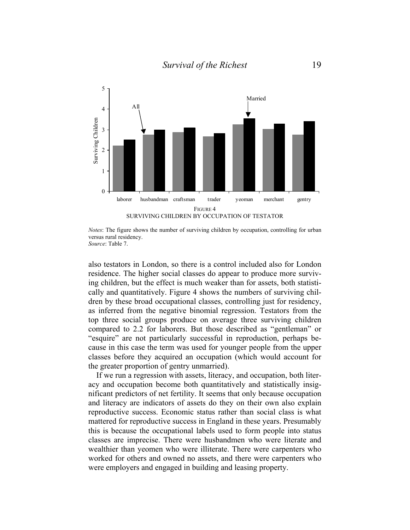

*Notes*: The figure shows the number of surviving children by occupation, controlling for urban versus rural residency. *Source*: Table 7.

also testators in London, so there is a control included also for London residence. The higher social classes do appear to produce more surviving children, but the effect is much weaker than for assets, both statistically and quantitatively. Figure 4 shows the numbers of surviving children by these broad occupational classes, controlling just for residency, as inferred from the negative binomial regression. Testators from the top three social groups produce on average three surviving children compared to 2.2 for laborers. But those described as "gentleman" or "esquire" are not particularly successful in reproduction, perhaps because in this case the term was used for younger people from the upper classes before they acquired an occupation (which would account for the greater proportion of gentry unmarried).

 If we run a regression with assets, literacy, and occupation, both literacy and occupation become both quantitatively and statistically insignificant predictors of net fertility. It seems that only because occupation and literacy are indicators of assets do they on their own also explain reproductive success. Economic status rather than social class is what mattered for reproductive success in England in these years. Presumably this is because the occupational labels used to form people into status classes are imprecise. There were husbandmen who were literate and wealthier than yeomen who were illiterate. There were carpenters who worked for others and owned no assets, and there were carpenters who were employers and engaged in building and leasing property.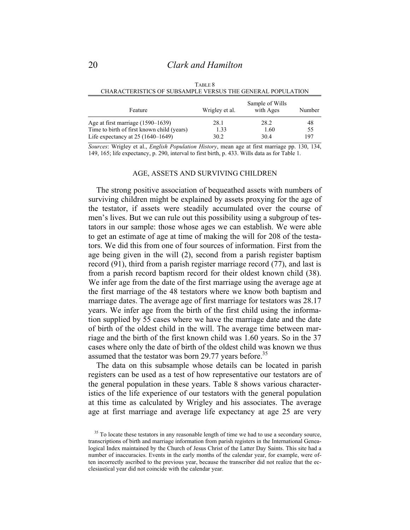| Feature                                    | Wrigley et al. | Sample of Wills<br>with Ages | Number |
|--------------------------------------------|----------------|------------------------------|--------|
| Age at first marriage $(1590-1639)$        | 28.1           | 28.2                         | 48     |
| Time to birth of first known child (years) | 1.33           | 1.60                         | 55     |
| Life expectancy at $25(1640-1649)$         | 30.2           | 30.4                         | 197    |

TABLE 8 CHARACTERISTICS OF SUBSAMPLE VERSUS THE GENERAL POPULATION

*Sources*: Wrigley et al., *English Population History*, mean age at first marriage pp. 130, 134, 149, 165; life expectancy, p. 290, interval to first birth, p. 433. Wills data as for Table 1.

#### AGE, ASSETS AND SURVIVING CHILDREN

 The strong positive association of bequeathed assets with numbers of surviving children might be explained by assets proxying for the age of the testator, if assets were steadily accumulated over the course of men's lives. But we can rule out this possibility using a subgroup of testators in our sample: those whose ages we can establish. We were able to get an estimate of age at time of making the will for 208 of the testators. We did this from one of four sources of information. First from the age being given in the will (2), second from a parish register baptism record (91), third from a parish register marriage record (77), and last is from a parish record baptism record for their oldest known child (38). We infer age from the date of the first marriage using the average age at the first marriage of the 48 testators where we know both baptism and marriage dates. The average age of first marriage for testators was 28.17 years. We infer age from the birth of the first child using the information supplied by 55 cases where we have the marriage date and the date of birth of the oldest child in the will. The average time between marriage and the birth of the first known child was 1.60 years. So in the 37 cases where only the date of birth of the oldest child was known we thus assumed that the testator was born 29.77 years before.<sup>35</sup>

 The data on this subsample whose details can be located in parish registers can be used as a test of how representative our testators are of the general population in these years. Table 8 shows various characteristics of the life experience of our testators with the general population at this time as calculated by Wrigley and his associates. The average age at first marriage and average life expectancy at age 25 are very

<sup>&</sup>lt;sup>35</sup> To locate these testators in any reasonable length of time we had to use a secondary source, transcriptions of birth and marriage information from parish registers in the International Genealogical Index maintained by the Church of Jesus Christ of the Latter Day Saints. This site had a number of inaccuracies. Events in the early months of the calendar year, for example, were often incorrectly ascribed to the previous year, because the transcriber did not realize that the ecclesiastical year did not coincide with the calendar year.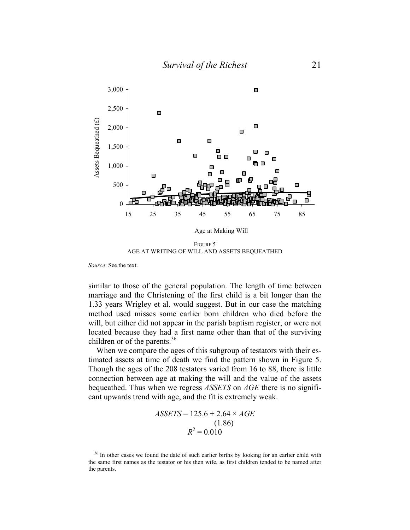

*Source*: See the text.

similar to those of the general population. The length of time between marriage and the Christening of the first child is a bit longer than the 1.33 years Wrigley et al. would suggest. But in our case the matching method used misses some earlier born children who died before the will, but either did not appear in the parish baptism register, or were not located because they had a first name other than that of the surviving children or of the parents.<sup>36</sup>

 When we compare the ages of this subgroup of testators with their estimated assets at time of death we find the pattern shown in Figure 5. Though the ages of the 208 testators varied from 16 to 88, there is little connection between age at making the will and the value of the assets bequeathed. Thus when we regress *ASSETS* on *AGE* there is no significant upwards trend with age, and the fit is extremely weak.

$$
ASSETS = 125.6 + 2.64 \times AGE
$$
  
(1.86)  

$$
R^2 = 0.010
$$

<sup>&</sup>lt;sup>36</sup> In other cases we found the date of such earlier births by looking for an earlier child with the same first names as the testator or his then wife, as first children tended to be named after the parents.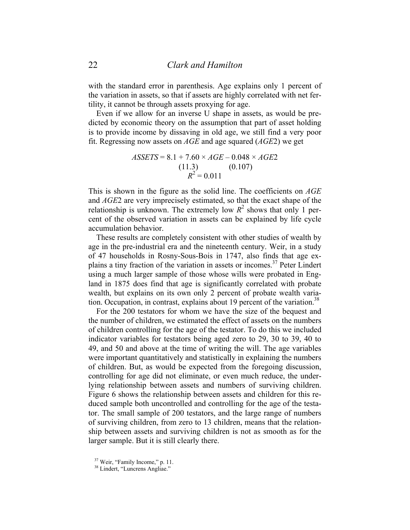with the standard error in parenthesis. Age explains only 1 percent of the variation in assets, so that if assets are highly correlated with net fertility, it cannot be through assets proxying for age.

 Even if we allow for an inverse U shape in assets, as would be predicted by economic theory on the assumption that part of asset holding is to provide income by dissaving in old age, we still find a very poor fit. Regressing now assets on *AGE* and age squared (*AGE*2) we get

$$
ASSETS = 8.1 + 7.60 \times AGE - 0.048 \times AGE2
$$
  
(11.3)  

$$
R^2 = 0.011
$$
 (0.107)

This is shown in the figure as the solid line. The coefficients on *AGE* and *AGE*2 are very imprecisely estimated, so that the exact shape of the relationship is unknown. The extremely low  $R^2$  shows that only 1 percent of the observed variation in assets can be explained by life cycle accumulation behavior.

 These results are completely consistent with other studies of wealth by age in the pre-industrial era and the nineteenth century. Weir, in a study of 47 households in Rosny-Sous-Bois in 1747, also finds that age explains a tiny fraction of the variation in assets or incomes.37 Peter Lindert using a much larger sample of those whose wills were probated in England in 1875 does find that age is significantly correlated with probate wealth, but explains on its own only 2 percent of probate wealth variation. Occupation, in contrast, explains about 19 percent of the variation.<sup>38</sup>

 For the 200 testators for whom we have the size of the bequest and the number of children, we estimated the effect of assets on the numbers of children controlling for the age of the testator. To do this we included indicator variables for testators being aged zero to 29, 30 to 39, 40 to 49, and 50 and above at the time of writing the will. The age variables were important quantitatively and statistically in explaining the numbers of children. But, as would be expected from the foregoing discussion, controlling for age did not eliminate, or even much reduce, the underlying relationship between assets and numbers of surviving children. Figure 6 shows the relationship between assets and children for this reduced sample both uncontrolled and controlling for the age of the testator. The small sample of 200 testators, and the large range of numbers of surviving children, from zero to 13 children, means that the relationship between assets and surviving children is not as smooth as for the larger sample. But it is still clearly there.

<sup>&</sup>lt;sup>37</sup> Weir, "Family Income," p. 11.

<sup>38</sup> Lindert, "Luncrens Angliae."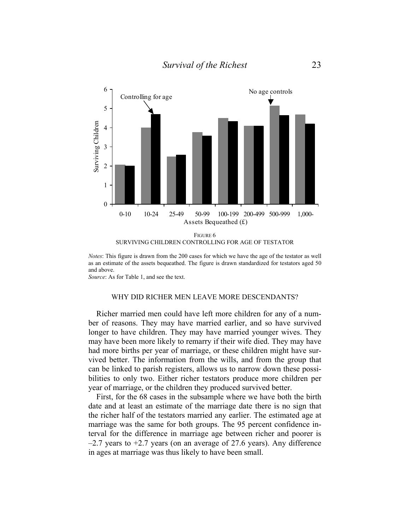

*Notes*: This figure is drawn from the 200 cases for which we have the age of the testator as well as an estimate of the assets bequeathed. The figure is drawn standardized for testators aged 50 and above.

*Source*: As for Table 1, and see the text.

#### WHY DID RICHER MEN LEAVE MORE DESCENDANTS?

 Richer married men could have left more children for any of a number of reasons. They may have married earlier, and so have survived longer to have children. They may have married younger wives. They may have been more likely to remarry if their wife died. They may have had more births per year of marriage, or these children might have survived better. The information from the wills, and from the group that can be linked to parish registers, allows us to narrow down these possibilities to only two. Either richer testators produce more children per year of marriage, or the children they produced survived better.

 First, for the 68 cases in the subsample where we have both the birth date and at least an estimate of the marriage date there is no sign that the richer half of the testators married any earlier. The estimated age at marriage was the same for both groups. The 95 percent confidence interval for the difference in marriage age between richer and poorer is  $-2.7$  years to  $+2.7$  years (on an average of 27.6 years). Any difference in ages at marriage was thus likely to have been small.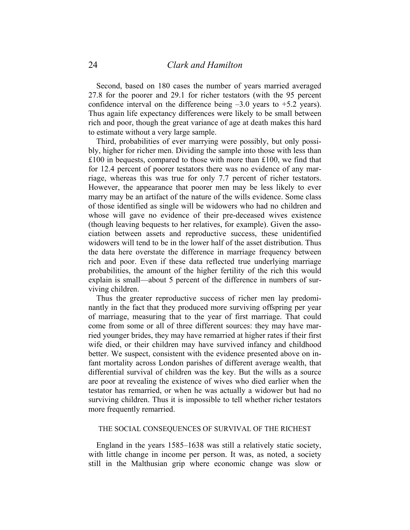Second, based on 180 cases the number of years married averaged 27.8 for the poorer and 29.1 for richer testators (with the 95 percent confidence interval on the difference being  $-3.0$  years to  $+5.2$  years). Thus again life expectancy differences were likely to be small between rich and poor, though the great variance of age at death makes this hard to estimate without a very large sample.

 Third, probabilities of ever marrying were possibly, but only possibly, higher for richer men. Dividing the sample into those with less than  $£100$  in bequests, compared to those with more than £100, we find that for 12.4 percent of poorer testators there was no evidence of any marriage, whereas this was true for only 7.7 percent of richer testators. However, the appearance that poorer men may be less likely to ever marry may be an artifact of the nature of the wills evidence. Some class of those identified as single will be widowers who had no children and whose will gave no evidence of their pre-deceased wives existence (though leaving bequests to her relatives, for example). Given the association between assets and reproductive success, these unidentified widowers will tend to be in the lower half of the asset distribution. Thus the data here overstate the difference in marriage frequency between rich and poor. Even if these data reflected true underlying marriage probabilities, the amount of the higher fertility of the rich this would explain is small—about 5 percent of the difference in numbers of surviving children.

 Thus the greater reproductive success of richer men lay predominantly in the fact that they produced more surviving offspring per year of marriage, measuring that to the year of first marriage. That could come from some or all of three different sources: they may have married younger brides, they may have remarried at higher rates if their first wife died, or their children may have survived infancy and childhood better. We suspect, consistent with the evidence presented above on infant mortality across London parishes of different average wealth, that differential survival of children was the key. But the wills as a source are poor at revealing the existence of wives who died earlier when the testator has remarried, or when he was actually a widower but had no surviving children. Thus it is impossible to tell whether richer testators more frequently remarried.

# THE SOCIAL CONSEQUENCES OF SURVIVAL OF THE RICHEST

 England in the years 1585–1638 was still a relatively static society, with little change in income per person. It was, as noted, a society still in the Malthusian grip where economic change was slow or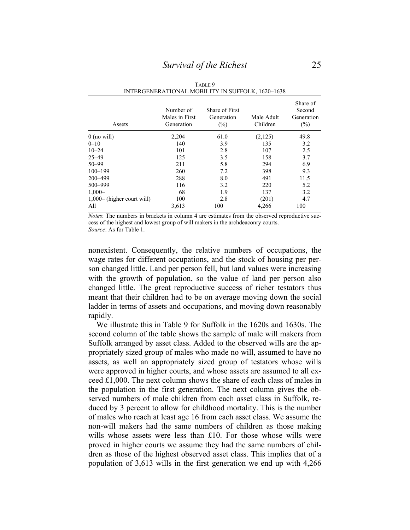| Assets                      | Number of<br>Males in First<br>Generation | Share of First<br>Generation<br>$(\%)$ | Male Adult<br>Children | Share of<br>Second<br>Generation<br>$(\%)$ |
|-----------------------------|-------------------------------------------|----------------------------------------|------------------------|--------------------------------------------|
| $0$ (no will)               | 2,204                                     | 61.0                                   | (2,125)                | 49.8                                       |
| $0 - 10$                    | 140                                       | 3.9                                    | 135                    | 3.2                                        |
| $10 - 24$                   | 101                                       | 2.8                                    | 107                    | 2.5                                        |
| $25 - 49$                   | 125                                       | 3.5                                    | 158                    | 3.7                                        |
| $50 - 99$                   | 211                                       | 5.8                                    | 294                    | 6.9                                        |
| $100 - 199$                 | 260                                       | 7.2                                    | 398                    | 9.3                                        |
| $200 - 499$                 | 288                                       | 8.0                                    | 491                    | 11.5                                       |
| 500-999                     | 116                                       | 3.2                                    | 220                    | 5.2                                        |
| $1,000-$                    | 68                                        | 1.9                                    | 137                    | 3.2                                        |
| $1,000$ (higher court will) | 100                                       | 2.8                                    | (201)                  | 4.7                                        |
| A11                         | 3,613                                     | 100                                    | 4,266                  | 100                                        |

TABLE 9 INTERGENERATIONAL MOBILITY IN SUFFOLK, 1620–1638

*Notes*: The numbers in brackets in column 4 are estimates from the observed reproductive success of the highest and lowest group of will makers in the archdeaconry courts. *Source*: As for Table 1.

nonexistent. Consequently, the relative numbers of occupations, the wage rates for different occupations, and the stock of housing per person changed little. Land per person fell, but land values were increasing with the growth of population, so the value of land per person also changed little. The great reproductive success of richer testators thus meant that their children had to be on average moving down the social ladder in terms of assets and occupations, and moving down reasonably rapidly.

 We illustrate this in Table 9 for Suffolk in the 1620s and 1630s. The second column of the table shows the sample of male will makers from Suffolk arranged by asset class. Added to the observed wills are the appropriately sized group of males who made no will, assumed to have no assets, as well an appropriately sized group of testators whose wills were approved in higher courts, and whose assets are assumed to all exceed £1,000. The next column shows the share of each class of males in the population in the first generation. The next column gives the observed numbers of male children from each asset class in Suffolk, reduced by 3 percent to allow for childhood mortality. This is the number of males who reach at least age 16 from each asset class. We assume the non-will makers had the same numbers of children as those making wills whose assets were less than £10. For those whose wills were proved in higher courts we assume they had the same numbers of children as those of the highest observed asset class. This implies that of a population of 3,613 wills in the first generation we end up with 4,266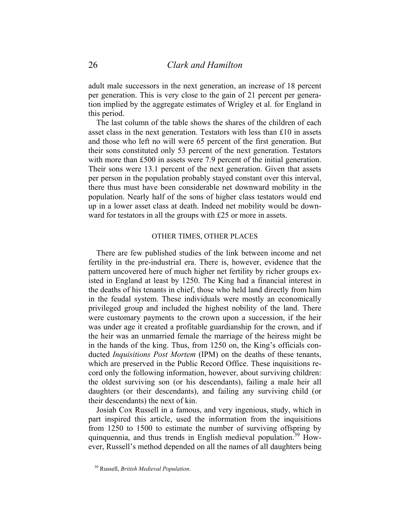adult male successors in the next generation, an increase of 18 percent per generation. This is very close to the gain of 21 percent per generation implied by the aggregate estimates of Wrigley et al. for England in this period.

 The last column of the table shows the shares of the children of each asset class in the next generation. Testators with less than £10 in assets and those who left no will were 65 percent of the first generation. But their sons constituted only 53 percent of the next generation. Testators with more than £500 in assets were 7.9 percent of the initial generation. Their sons were 13.1 percent of the next generation. Given that assets per person in the population probably stayed constant over this interval, there thus must have been considerable net downward mobility in the population. Nearly half of the sons of higher class testators would end up in a lower asset class at death. Indeed net mobility would be downward for testators in all the groups with £25 or more in assets.

## OTHER TIMES, OTHER PLACES

 There are few published studies of the link between income and net fertility in the pre-industrial era. There is, however, evidence that the pattern uncovered here of much higher net fertility by richer groups existed in England at least by 1250. The King had a financial interest in the deaths of his tenants in chief, those who held land directly from him in the feudal system. These individuals were mostly an economically privileged group and included the highest nobility of the land. There were customary payments to the crown upon a succession, if the heir was under age it created a profitable guardianship for the crown, and if the heir was an unmarried female the marriage of the heiress might be in the hands of the king. Thus, from 1250 on, the King's officials conducted *Inquisitions Post Mortem* (IPM) on the deaths of these tenants, which are preserved in the Public Record Office. These inquisitions record only the following information, however, about surviving children: the oldest surviving son (or his descendants), failing a male heir all daughters (or their descendants), and failing any surviving child (or their descendants) the next of kin.

 Josiah Cox Russell in a famous, and very ingenious, study, which in part inspired this article, used the information from the inquisitions from 1250 to 1500 to estimate the number of surviving offspring by quinquennia, and thus trends in English medieval population.<sup>39</sup> However, Russell's method depended on all the names of all daughters being

<sup>39</sup> Russell, *British Medieval Population*.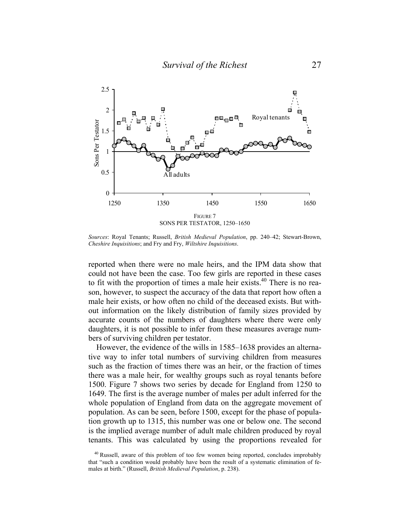

*Sources*: Royal Tenants; Russell, *British Medieval Population*, pp. 240–42; Stewart-Brown, *Cheshire Inquisitions*; and Fry and Fry, *Wiltshire Inquisitions*.

reported when there were no male heirs, and the IPM data show that could not have been the case. Too few girls are reported in these cases to fit with the proportion of times a male heir exists.<sup>40</sup> There is no reason, however, to suspect the accuracy of the data that report how often a male heir exists, or how often no child of the deceased exists. But without information on the likely distribution of family sizes provided by accurate counts of the numbers of daughters where there were only daughters, it is not possible to infer from these measures average numbers of surviving children per testator.

 However, the evidence of the wills in 1585–1638 provides an alternative way to infer total numbers of surviving children from measures such as the fraction of times there was an heir, or the fraction of times there was a male heir, for wealthy groups such as royal tenants before 1500. Figure 7 shows two series by decade for England from 1250 to 1649. The first is the average number of males per adult inferred for the whole population of England from data on the aggregate movement of population. As can be seen, before 1500, except for the phase of population growth up to 1315, this number was one or below one. The second is the implied average number of adult male children produced by royal tenants. This was calculated by using the proportions revealed for

<sup>&</sup>lt;sup>40</sup> Russell, aware of this problem of too few women being reported, concludes improbably that "such a condition would probably have been the result of a systematic elimination of females at birth." (Russell, *British Medieval Population*, p. 238).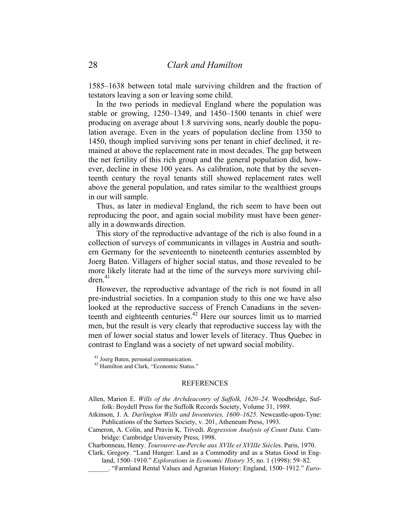1585–1638 between total male surviving children and the fraction of testators leaving a son or leaving some child.

 In the two periods in medieval England where the population was stable or growing, 1250–1349, and 1450–1500 tenants in chief were producing on average about 1.8 surviving sons, nearly double the population average. Even in the years of population decline from 1350 to 1450, though implied surviving sons per tenant in chief declined, it remained at above the replacement rate in most decades. The gap between the net fertility of this rich group and the general population did, however, decline in these 100 years. As calibration, note that by the seventeenth century the royal tenants still showed replacement rates well above the general population, and rates similar to the wealthiest groups in our will sample.

Thus, as later in medieval England, the rich seem to have been out reproducing the poor, and again social mobility must have been generally in a downwards direction.

This story of the reproductive advantage of the rich is also found in a collection of surveys of communicants in villages in Austria and southern Germany for the seventeenth to nineteenth centuries assembled by Joerg Baten. Villagers of higher social status, and those revealed to be more likely literate had at the time of the surveys more surviving chil $dren.<sup>41</sup>$ 

 However, the reproductive advantage of the rich is not found in all pre-industrial societies. In a companion study to this one we have also looked at the reproductive success of French Canadians in the seventeenth and eighteenth centuries.42 Here our sources limit us to married men, but the result is very clearly that reproductive success lay with the men of lower social status and lower levels of literacy. Thus Quebec in contrast to England was a society of net upward social mobility.

41 Joerg Baten, personal communication.

<sup>42</sup> Hamilton and Clark, "Economic Status."

#### REFERENCES

Allen, Marion E. *Wills of the Archdeaconry of Suffolk, 1620–24*. Woodbridge, Suffolk: Boydell Press for the Suffolk Records Society, Volume 31, 1989.

Atkinson, J. A. *Darlington Wills and Inventories, 1600–1625*. Newcastle-upon-Tyne: Publications of the Surtees Society, v. 201, Atheneum Press, 1993.

Cameron, A. Colin, and Pravin K. Trivedi. *Regression Analysis of Count Data*. Cambridge: Cambridge University Press, 1998.

Charbonneau, Henry. *Tourouvre-au-Perche aux XVIIe et XVIIIe Siècle*s. Paris, 1970.

Clark, Gregory. "Land Hunger: Land as a Commodity and as a Status Good in England, 1500–1910." *Explorations in Economic History* 35, no. 1 (1998): 59–82.

\_\_\_\_\_\_. "Farmland Rental Values and Agrarian History: England, 1500–1912." *Euro-*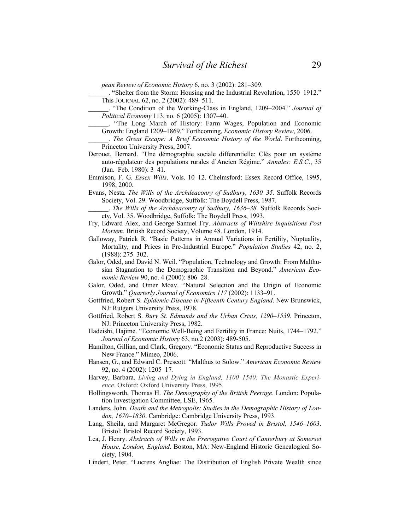*pean Review of Economic History* 6, no. 3 (2002): 281–309.

- \_\_\_\_\_\_. **"**Shelter from the Storm: Housing and the Industrial Revolution, 1550–1912." This JOURNAL 62, no. 2 (2002): 489–511.
- \_\_\_\_\_\_. "The Condition of the Working-Class in England, 1209–2004." *Journal of Political Economy* 113, no. 6 (2005): 1307–40.
- \_\_\_\_\_\_. "The Long March of History: Farm Wages, Population and Economic Growth: England 1209–1869." Forthcoming, *Economic History Review*, 2006.
- \_\_\_\_\_\_. *The Great Escape: A Brief Economic History of the World*. Forthcoming, Princeton University Press, 2007.
- Derouet, Bernard. "Une démographie sociale differentielle: Clés pour un système auto-régulateur des populations rurales d'Ancien Régime." *Annales: E.S.C*., 35 (Jan.–Feb. 1980): 3–41.
- Emmison, F. G*. Essex Wills*. Vols. 10–12. Chelmsford: Essex Record Office, 1995, 1998, 2000.
- Evans, Nesta*. The Wills of the Archdeaconry of Sudbury, 1630–35.* Suffolk Records Society, Vol. 29. Woodbridge, Suffolk: The Boydell Press, 1987.
	- \_\_\_\_\_\_. *The Wills of the Archdeaconry of Sudbury, 1636–38.* Suffolk Records Society, Vol. 35. Woodbridge, Suffolk: The Boydell Press, 1993.
- Fry, Edward Alex, and George Samuel Fry. *Abstracts of Wiltshire Inquisitions Post Mortem*. British Record Society, Volume 48. London, 1914.
- Galloway, Patrick R. "Basic Patterns in Annual Variations in Fertility, Nuptuality, Mortality, and Prices in Pre-Industrial Europe." *Population Studies* 42, no. 2, (1988): 275–302.
- Galor, Oded, and David N. Weil. "Population, Technology and Growth: From Malthusian Stagnation to the Demographic Transition and Beyond." *American Economic Review* 90, no. 4 (2000): 806–28.
- Galor, Oded, and Omer Moav. "Natural Selection and the Origin of Economic Growth." *Quarterly Journal of Economics 117* (2002): 1133–91.
- Gottfried, Robert S. *Epidemic Disease in Fifteenth Century England*. New Brunswick, NJ: Rutgers University Press, 1978.
- Gottfried, Robert S. *Bury St. Edmunds and the Urban Crisis, 1290–1539*. Princeton, NJ: Princeton University Press, 1982.
- Hadeishi, Hajime. "Economic Well-Being and Fertility in France: Nuits, 1744–1792." *Journal of Economic History* 63, no.2 (2003): 489-505.
- Hamilton, Gillian, and Clark, Gregory. "Economic Status and Reproductive Success in New France." Mimeo, 2006.
- Hansen, G., and Edward C. Prescott. "Malthus to Solow." *American Economic Review* 92, no. 4 (2002): 1205–17*.*
- Harvey, Barbara. *Living and Dying in England, 1100–1540: The Monastic Experience*. Oxford: Oxford University Press, 1995.
- Hollingsworth, Thomas H. *The Demography of the British Peerage*. London: Population Investigation Committee, LSE, 1965.
- Landers, John. *Death and the Metropolis: Studies in the Demographic History of London, 1670–1830*. Cambridge: Cambridge University Press, 1993.
- Lang, Sheila, and Margaret McGregor. *Tudor Wills Proved in Bristol, 1546–1603*. Bristol: Bristol Record Society, 1993.
- Lea, J. Henry. *Abstracts of Wills in the Prerogative Court of Canterbury at Somerset House, London, England*. Boston, MA: New-England Historic Genealogical Society, 1904.
- Lindert, Peter. "Lucrens Angliae: The Distribution of English Private Wealth since